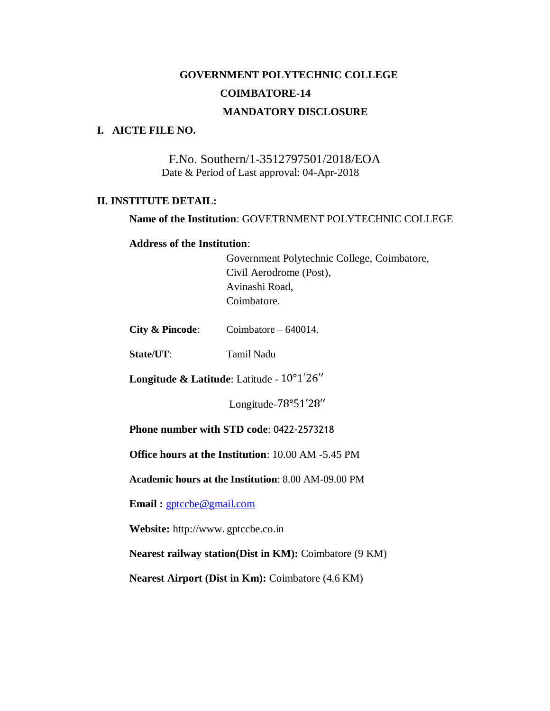# **GOVERNMENT POLYTECHNIC COLLEGE COIMBATORE-14 MANDATORY DISCLOSURE**

#### **I. AICTE FILE NO.**

F.No. Southern/1-3512797501/2018/EOA Date & Period of Last approval: 04-Apr-2018

#### **II. INSTITUTE DETAIL:**

**Name of the Institution**: GOVETRNMENT POLYTECHNIC COLLEGE

#### **Address of the Institution**:

Government Polytechnic College, Coimbatore, Civil Aerodrome (Post), Avinashi Road, Coimbatore.

| <b>City &amp; Pincode:</b> | Coimbatore $-640014$ . |  |
|----------------------------|------------------------|--|
|----------------------------|------------------------|--|

**State/UT**: Tamil Nadu

Longitude & Latitude: Latitude -  $10^{\circ}1'26''$ 

Longitude-78°51'28"

**Phone number with STD code**: 0422-2573218

**Office hours at the Institution**: 10.00 AM -5.45 PM

**Academic hours at the Institution**: 8.00 AM-09.00 PM

**Email :** [gptccbe@gmail.com](mailto:gptccbe@gmail.com)

**Website:** http://www. gptccbe.co.in

**Nearest railway station(Dist in KM):** Coimbatore (9 KM)

**Nearest Airport (Dist in Km):** Coimbatore (4.6 KM)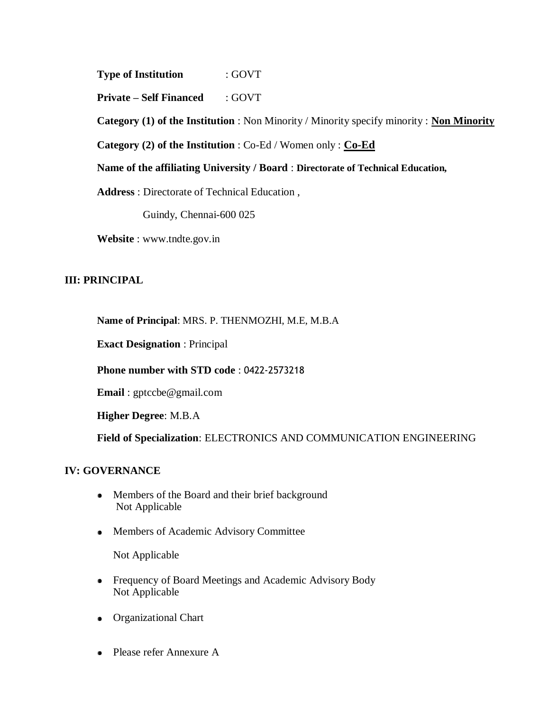**Type of Institution** : GOVT

**Private – Self Financed** : GOVT

**Category (1) of the Institution** : Non Minority / Minority specify minority : **Non Minority**

**Category (2) of the Institution** : Co-Ed / Women only : **Co-Ed**

**Name of the affiliating University / Board** : **Directorate of Technical Education,**

**Address** : Directorate of Technical Education ,

Guindy, Chennai-600 025

**Website** : www.tndte.gov.in

### **III: PRINCIPAL**

**Name of Principal**: MRS. P. THENMOZHI, M.E, M.B.A

**Exact Designation** : Principal

**Phone number with STD code** : 0422-2573218

**Email** : gptccbe@gmail.com

**Higher Degree**: M.B.A

**Field of Specialization**: ELECTRONICS AND COMMUNICATION ENGINEERING

### **IV: GOVERNANCE**

- Members of the Board and their brief background Not Applicable
- Members of Academic Advisory Committee

Not Applicable

- Frequency of Board Meetings and Academic Advisory Body Not Applicable
- Organizational Chart
- Please refer Annexure A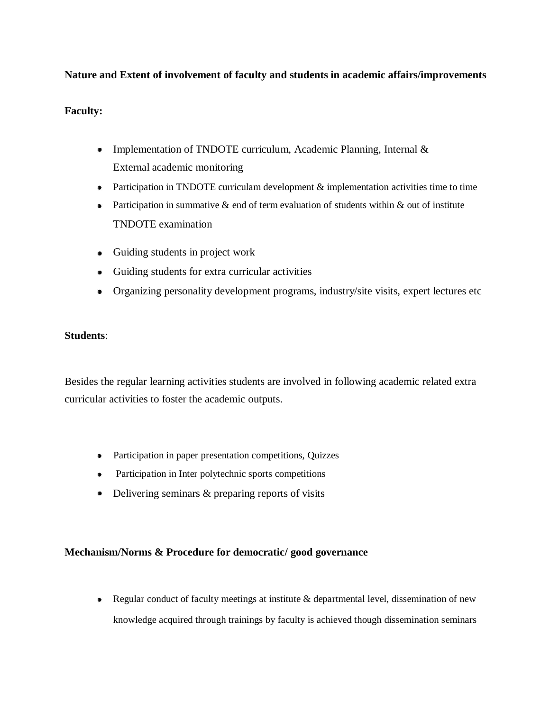### **Nature and Extent of involvement of faculty and students in academic affairs/improvements**

### **Faculty:**

- Implementation of TNDOTE curriculum, Academic Planning, Internal & External academic monitoring
- Participation in TNDOTE curriculam development  $\&$  implementation activities time to time
- Participation in summative  $\&$  end of term evaluation of students within  $\&$  out of institute TNDOTE examination
- Guiding students in project work
- Guiding students for extra curricular activities
- Organizing personality development programs, industry/site visits, expert lectures etc

### **Students**:

Besides the regular learning activities students are involved in following academic related extra curricular activities to foster the academic outputs.

- Participation in paper presentation competitions, Quizzes
- Participation in Inter polytechnic sports competitions
- Delivering seminars & preparing reports of visits

### **Mechanism/Norms & Procedure for democratic/ good governance**

• Regular conduct of faculty meetings at institute & departmental level, dissemination of new knowledge acquired through trainings by faculty is achieved though dissemination seminars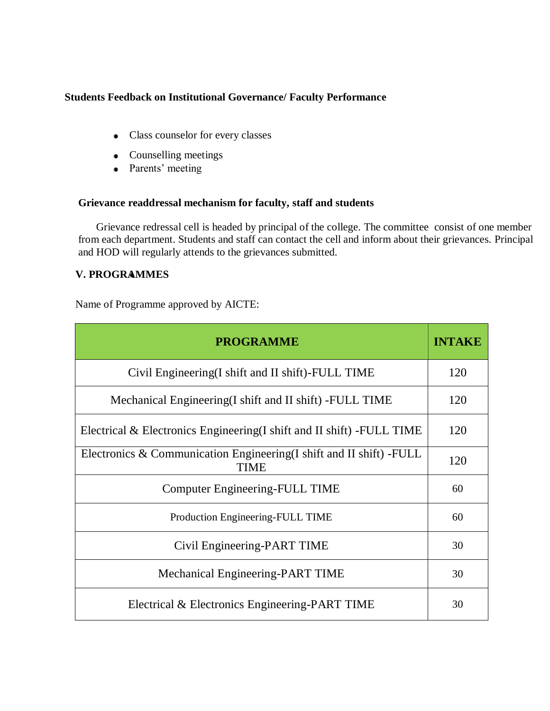### **Students Feedback on Institutional Governance/ Faculty Performance**

- Class counselor for every classes
- Counselling meetings
- Parents' meeting

### **Grievance readdressal mechanism for faculty, staff and students**

Grievance redressal cell is headed by principal of the college. The committee consist of one member from each department. Students and staff can contact the cell and inform about their grievances. Principal and HOD will regularly attends to the grievances submitted.

### **V. PROGRAMMES**

Name of Programme approved by AICTE:

| <b>PROGRAMME</b>                                                                    |  |  |
|-------------------------------------------------------------------------------------|--|--|
| Civil Engineering (I shift and II shift)-FULL TIME                                  |  |  |
| Mechanical Engineering (I shift and II shift) - FULL TIME                           |  |  |
| Electrical & Electronics Engineering(I shift and II shift) - FULL TIME              |  |  |
| Electronics & Communication Engineering(I shift and II shift) - FULL<br><b>TIME</b> |  |  |
| <b>Computer Engineering-FULL TIME</b>                                               |  |  |
| Production Engineering-FULL TIME                                                    |  |  |
| Civil Engineering-PART TIME                                                         |  |  |
| Mechanical Engineering-PART TIME                                                    |  |  |
| Electrical & Electronics Engineering-PART TIME                                      |  |  |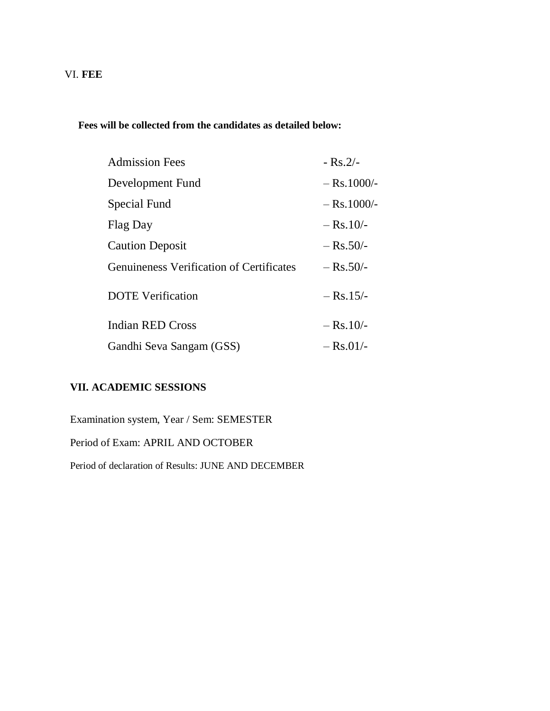### VI. **FEE**

### **Fees will be collected from the candidates as detailed below:**

| <b>Admission Fees</b>                           | $-Rs.2/-$     |
|-------------------------------------------------|---------------|
| Development Fund                                | $-$ Rs.1000/- |
| Special Fund                                    | $-$ Rs.1000/- |
| Flag Day                                        | $-$ Rs.10/-   |
| <b>Caution Deposit</b>                          | $-$ Rs.50/-   |
| <b>Genuineness Verification of Certificates</b> | $-$ Rs.50/-   |
| <b>DOTE</b> Verification                        | $-$ Rs. 15/-  |
| <b>Indian RED Cross</b>                         | $-$ Rs.10/-   |
| Gandhi Seva Sangam (GSS)                        | $-$ Rs.01/-   |

### **VII. ACADEMIC SESSIONS**

Examination system, Year / Sem: SEMESTER

Period of Exam: APRIL AND OCTOBER

Period of declaration of Results: JUNE AND DECEMBER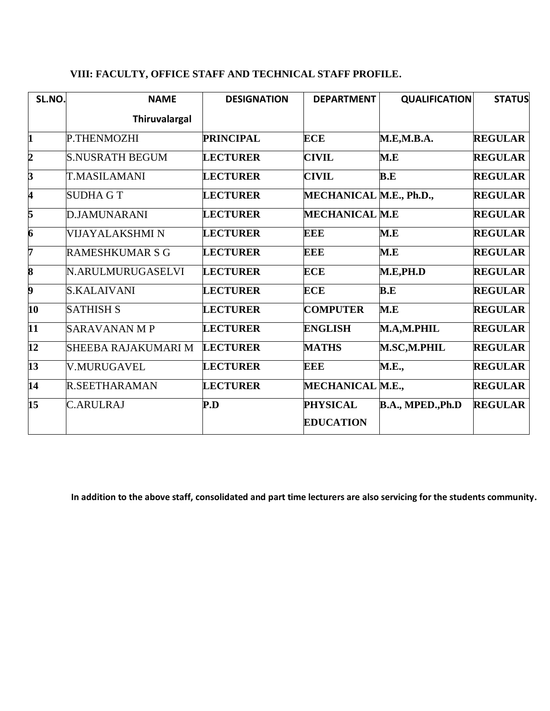### **VIII: FACULTY, OFFICE STAFF AND TECHNICAL STAFF PROFILE.**

| SL.NO.                  | <b>NAME</b>            | <b>DESIGNATION</b> | <b>DEPARTMENT</b>                   | <b>QUALIFICATION</b>     | <b>STATUS</b>  |
|-------------------------|------------------------|--------------------|-------------------------------------|--------------------------|----------------|
|                         | <b>Thiruvalargal</b>   |                    |                                     |                          |                |
| $\mathbf{1}$            | P.THENMOZHI            | <b>PRINCIPAL</b>   | <b>ECE</b>                          | M.E,M.B.A.               | <b>REGULAR</b> |
| $\overline{\mathbf{2}}$ | <b>S.NUSRATH BEGUM</b> | <b>LECTURER</b>    | <b>CIVIL</b>                        | M.E                      | <b>REGULAR</b> |
| $\overline{\mathbf{3}}$ | T.MASILAMANI           | <b>LECTURER</b>    | <b>CIVIL</b>                        | B.E                      | <b>REGULAR</b> |
| 4                       | <b>SUDHA G T</b>       | <b>LECTURER</b>    | MECHANICAL M.E., Ph.D.,             |                          | <b>REGULAR</b> |
| 5                       | <b>D.JAMUNARANI</b>    | <b>LECTURER</b>    | <b>MECHANICAL M.E</b>               |                          | <b>REGULAR</b> |
| 6                       | VIJAYALAKSHMI N        | <b>LECTURER</b>    | EEE                                 | M.E                      | <b>REGULAR</b> |
| 7                       | <b>RAMESHKUMAR S G</b> | <b>LECTURER</b>    | <b>EEE</b>                          | M.E                      | <b>REGULAR</b> |
| $\overline{\bf 8}$      | N.ARULMURUGASELVI      | <b>LECTURER</b>    | <b>ECE</b>                          | M.E,PH.D                 | <b>REGULAR</b> |
| 9                       | <b>S.KALAIVANI</b>     | <b>LECTURER</b>    | <b>ECE</b>                          | B.E                      | <b>REGULAR</b> |
| 10                      | <b>SATHISH S</b>       | <b>LECTURER</b>    | <b>COMPUTER</b>                     | M.E                      | <b>REGULAR</b> |
| $\overline{11}$         | <b>SARAVANAN M P</b>   | <b>LECTURER</b>    | <b>ENGLISH</b>                      | M.A,M.PHIL               | <b>REGULAR</b> |
| $\overline{12}$         | SHEEBA RAJAKUMARI M    | <b>LECTURER</b>    | <b>MATHS</b>                        | M.SC,M.PHIL              | <b>REGULAR</b> |
| $\overline{13}$         | <b>V.MURUGAVEL</b>     | <b>LECTURER</b>    | <b>EEE</b>                          | <b>M.E.,</b>             | <b>REGULAR</b> |
| $\overline{14}$         | R.SEETHARAMAN          | <b>LECTURER</b>    | MECHANICAL M.E.,                    |                          | <b>REGULAR</b> |
| $\overline{15}$         | <b>C.ARULRAJ</b>       | P.D                | <b>PHYSICAL</b><br><b>EDUCATION</b> | <b>B.A., MPED., Ph.D</b> | <b>REGULAR</b> |

**In addition to the above staff, consolidated and part time lecturers are also servicing for the students community.**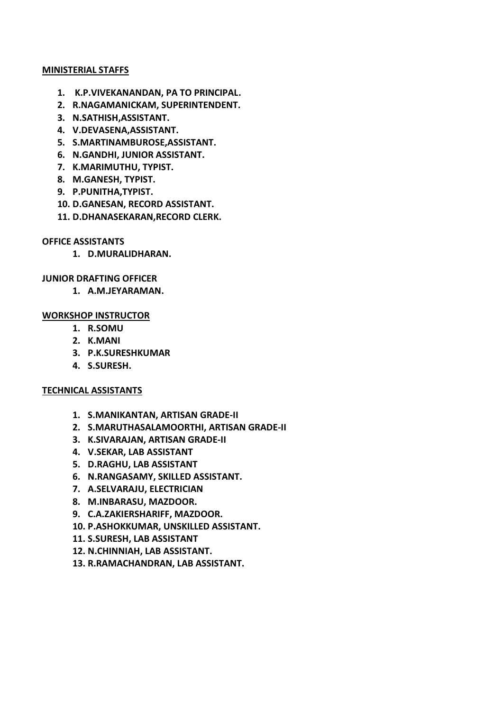#### **MINISTERIAL STAFFS**

- **1. K.P.VIVEKANANDAN, PA TO PRINCIPAL.**
- **2. R.NAGAMANICKAM, SUPERINTENDENT.**
- **3. N.SATHISH,ASSISTANT.**
- **4. V.DEVASENA,ASSISTANT.**
- **5. S.MARTINAMBUROSE,ASSISTANT.**
- **6. N.GANDHI, JUNIOR ASSISTANT.**
- **7. K.MARIMUTHU, TYPIST.**
- **8. M.GANESH, TYPIST.**
- **9. P.PUNITHA,TYPIST.**
- **10. D.GANESAN, RECORD ASSISTANT.**
- **11. D.DHANASEKARAN,RECORD CLERK.**

### **OFFICE ASSISTANTS**

**1. D.MURALIDHARAN.**

### **JUNIOR DRAFTING OFFICER**

**1. A.M.JEYARAMAN.**

### **WORKSHOP INSTRUCTOR**

- **1. R.SOMU**
- **2. K.MANI**
- **3. P.K.SURESHKUMAR**
- **4. S.SURESH.**

### **TECHNICAL ASSISTANTS**

- **1. S.MANIKANTAN, ARTISAN GRADE-II**
- **2. S.MARUTHASALAMOORTHI, ARTISAN GRADE-II**
- **3. K.SIVARAJAN, ARTISAN GRADE-II**
- **4. V.SEKAR, LAB ASSISTANT**
- **5. D.RAGHU, LAB ASSISTANT**
- **6. N.RANGASAMY, SKILLED ASSISTANT.**
- **7. A.SELVARAJU, ELECTRICIAN**
- **8. M.INBARASU, MAZDOOR.**
- **9. C.A.ZAKIERSHARIFF, MAZDOOR.**
- **10. P.ASHOKKUMAR, UNSKILLED ASSISTANT.**
- **11. S.SURESH, LAB ASSISTANT**
- **12. N.CHINNIAH, LAB ASSISTANT.**
- **13. R.RAMACHANDRAN, LAB ASSISTANT.**